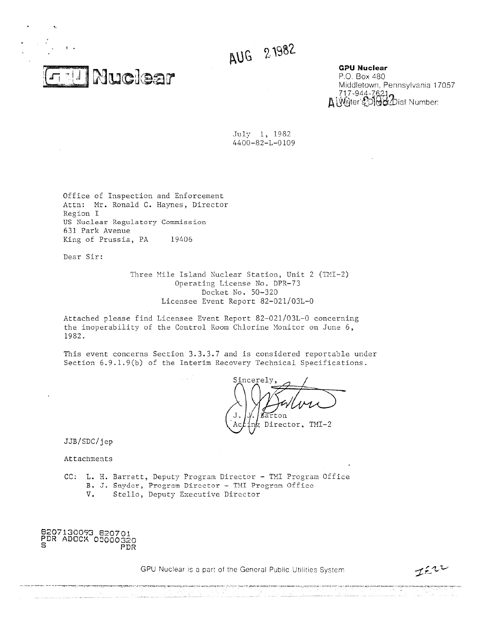AUG 21982

**Nuclear** 

**GPU Nuclear**

P.O. Box 480 Middletown, Pennsylvania 17057 717-944-7 **GPU Nuclear**<br>P.O. Box 480<br>Middletown, Pennsylvania 1<br>717-944-7621<br>A Writer's Did Ox Dial Number:

July 1, 1982 4400-82-L-0109

Office of Inspection and Enforcement Attn: Mr. Ronald C. Haynes, Director Region I US Nuclear Regulatory Commission 631 Park Avenue King of Prussia, PA 19406

Dear Sir:

Three Mile Island Nuclear Station, Unit 2 (TMI-2) Operating License No. DPR-73 Docket No. 50-320 Licensee Event Report 82-021/03L-0

Attached please find Licensee Event Report 82-021/03L-0 concerning the inoperability of the Control Room Chlorine Monitor on June 6, 1982.

This event concerns Section 3.3.3.7 and is considered reportable under Section 6.9.1.9(b) of the Interim Recovery Technical Specifications.

Sincerely  $t \cap n$ Director, TMI-2

JJB/SDC/jep

Attachments

CC: L. H. Barrett, Deputy Program Director - TMI Program Office B. J. Snyder, Program Director - TNT Program Office

V. Stello, Deputy Executive Director

8207130093 820701 PDR ADOCK 05000320<br>PDR ADOCK 05000320

GPU Nuclear is a part of the General Public Utilities System

 $I^{\epsilon\tau}$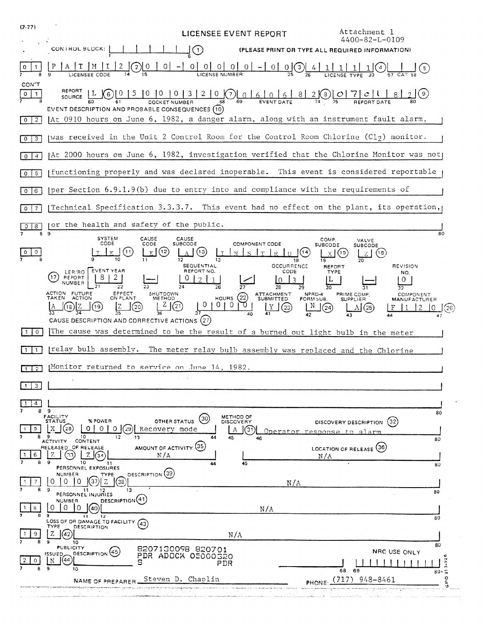| (7.77)                           | Attachment 1<br>LICENSEE EVENT REPORT                                                                                                                                                                                                                                                                                                                                                                                                                                                                    |
|----------------------------------|----------------------------------------------------------------------------------------------------------------------------------------------------------------------------------------------------------------------------------------------------------------------------------------------------------------------------------------------------------------------------------------------------------------------------------------------------------------------------------------------------------|
|                                  | 4400-82-L-0109<br>CONTROL BLOCK:<br>(1)<br>(PLEASE PRINT OR TYPE ALL REQUIRED INFORMATION)                                                                                                                                                                                                                                                                                                                                                                                                               |
| 0                                | $\vert$ 0<br>$\overline{0}$<br>$\overline{O}$<br>М<br>$\overline{2}$<br>01<br>-01<br>0 0 (3) 4                                                                                                                                                                                                                                                                                                                                                                                                           |
| CON'T<br>$\circ$<br>1.           | REPORT<br>$3200000000$<br>ĮО<br>$\overline{10}$<br>$82(8)$ 0 7 0 1<br>(6)<br>SOURCE<br>EVENT DESCRIPTION AND PROBABLE CONSEQUENCES (10)                                                                                                                                                                                                                                                                                                                                                                  |
| 2<br>$\overline{\phantom{a}}$    | At 0910 hours on June 6, 1982, a danger alarm, along with an instrument fault alarm,                                                                                                                                                                                                                                                                                                                                                                                                                     |
| 3<br>$\circ$                     | was received in the Unit 2 Control Room for the Control Room Chlorine (C1 $_2$ ) monitor.                                                                                                                                                                                                                                                                                                                                                                                                                |
| $0 \mid 4$                       | (At 2000 hours on June 6, 1982, investigation verified that the Chlorine Monitor was not)                                                                                                                                                                                                                                                                                                                                                                                                                |
| 5<br>$\circ$                     | functioning properly and was declared inoperable. This event is considered reportable                                                                                                                                                                                                                                                                                                                                                                                                                    |
| 6<br>$\circ$                     | per Section 6.9.1.9(b) due to entry into and compliance with the requirements of                                                                                                                                                                                                                                                                                                                                                                                                                         |
| $\overline{7}$<br>$\mathbf{O}$   | Technical Specification 3.3.3.7. This event had no effect on the plant, its operation,                                                                                                                                                                                                                                                                                                                                                                                                                   |
| 8<br>$\mathsf{o}$<br>8           | or the health and safety of the public.<br>-9<br>80                                                                                                                                                                                                                                                                                                                                                                                                                                                      |
| 0                                | <b>SYSTEM</b><br>CAUSE<br>CAUSE<br>COMP.<br>VALVE<br>CODE.<br>CODE<br><b>COMPONENT CODE</b><br><b>SUBCODE</b><br><b>SUBCODE</b><br>SUBCODE<br>(11)<br>(12)<br>(13)<br>(14<br>(15)<br>F.<br>(16)<br>13<br>19<br>18<br>SEQUENTIAL<br><b>OCCURRENCE</b><br><b>REVISION</b><br>REPORT                                                                                                                                                                                                                        |
|                                  | EVENT YEAR<br>REPORT NO.<br>CODE<br><b>TYPE</b><br>LER/RO<br>NO.<br>[17<br>REPORT<br>10<br>र<br>0<br>T.<br>NUMBER<br>26<br>27<br>28<br>29<br>32<br>ACTION FUTURE<br>EFFECT<br>ON PLANT<br>SHUTDOWN<br>ATTACHMENT<br>NPRD-4<br>PRIME COMP.<br><b>COMPONENT</b><br>(22)<br>TAKEN<br><b>ACTION</b><br><b>HOURS</b><br><b>METHOD</b><br><b>SUBMITTED</b><br>FORM SUB.<br><b>SUPPLIER</b><br><b>MANUFACTURER</b><br>$\sigma$<br>0<br>(21)<br>- IN<br>$^{(20)}$<br>(23)<br>(24<br>(25)<br>26<br>40<br>42<br>44 |
| $1 \mid 0$                       | CAUSE DESCRIPTION AND CORRECTIVE ACTIONS (27)<br>The cause was determined to be the result of a burned out light bulb in the meter                                                                                                                                                                                                                                                                                                                                                                       |
| $\mathbf{1}$<br>$\mathbf{1}$     | relay bulb assembly. The meter relay bulb assembly was replaced and the Chlorine                                                                                                                                                                                                                                                                                                                                                                                                                         |
| $\overline{2}$<br>$\overline{1}$ | Monitor returned to service on June 14, 1982.                                                                                                                                                                                                                                                                                                                                                                                                                                                            |
| 3                                |                                                                                                                                                                                                                                                                                                                                                                                                                                                                                                          |
|                                  |                                                                                                                                                                                                                                                                                                                                                                                                                                                                                                          |
| 89<br>5                          | 80<br><b>FACILITY</b><br>METHOD OF<br>30]<br>% POWER<br>OTHER STATUS<br><b>STATUS</b><br><b>DISCOVERY</b><br>DISCOVERY DESCRIPTION (32)<br>X.<br>$\circ$<br>(28)<br>$\circ$<br>0<br>(29) Recovery mode<br>(31)<br>A<br>Operator response to alarm<br>10<br>13<br>12<br>44<br>45<br>46<br>80                                                                                                                                                                                                              |
| 6                                | CONTENT<br>ACTIVITY<br>AMOUNT OF ACTIVITY (35)<br>RELEASED OF RELEASE<br>LOCATION OF RELEASE (36)<br>Z<br>N/A<br>N/A<br>9<br>10<br>45<br>11<br>80<br>PERSONNEL EXPOSURES                                                                                                                                                                                                                                                                                                                                 |
|                                  | DESCRIPTION (39)<br><b>NUMBER</b><br><b>TYPE</b><br>38<br>N/A<br>9<br>11<br>13<br>12<br>80                                                                                                                                                                                                                                                                                                                                                                                                               |
| 8                                | PERSONNEL INJURIES<br>DESCRIPTION <sup>(41)</sup><br>NUMBER<br>$\Omega$<br>$\Omega$<br>۵Λ<br>N/A                                                                                                                                                                                                                                                                                                                                                                                                         |
| 9                                | э<br>12<br>$\mathbf{1}$<br>80<br>LOSS OF OR DAMAGE TO FACILITY (43<br>TYPE<br>DESCRIPTION<br>Z<br>42<br>N/A<br>10                                                                                                                                                                                                                                                                                                                                                                                        |
|                                  | 80<br><b>PUBLICITY</b><br>8207130098 820701<br>NRC USE ONLY<br> 45<br><b>DESCRIPTION</b><br>ISSUED.<br>PDR ADOCK 05000320<br>(44<br>N<br>$7 - 92$<br>s<br>PDR<br>9<br>10<br>68<br>69<br>30.5                                                                                                                                                                                                                                                                                                             |
|                                  | o<br>$(717)$ 948-8461<br>Steven D. Chaplin<br>NAME OF PREPARER<br>۵<br>PHONE                                                                                                                                                                                                                                                                                                                                                                                                                             |
|                                  |                                                                                                                                                                                                                                                                                                                                                                                                                                                                                                          |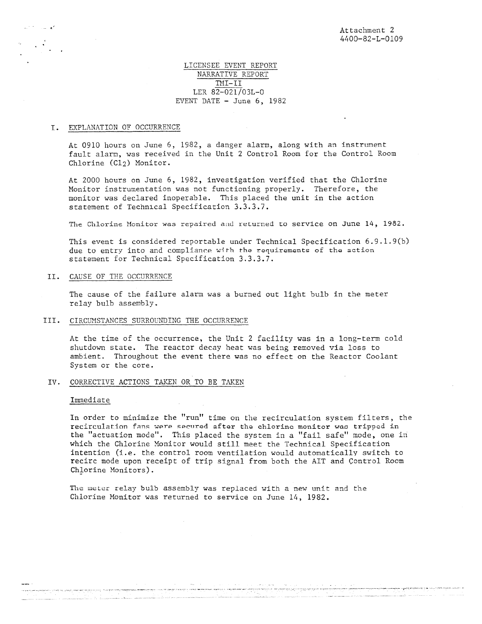## LICENSEE EVENT REPORT NARRATIVE REPORT TMI-II LER 82-021/03L-0 EVENT DATE  $-$  June 6, 1982

#### I. EXPLANATION OF OCCURRENCE

At 0910 hours on June 6, 1982, a danger alarm, along with an instrument fault alarm, was received in the Unit 2 Control Room for the Control Room Chlorine (C12) Monitor.

At 2000 hours on June 6, 1982, investigation verified that the Chlorine Monitor instrumentation was not functioning properly. Therefore, the monitor was declared inoperable. This placed the unit in the action statement of Technical Specification 3.3.3.7.

The Chlorine Monitor was repaired and returned to service on June 14, 1982.

This event is considered reportable under Technical Specification 6.9.1.9(b) due to entry into and compliance with the requirements of the action statement for Technical Specification 3.3.3.7.

II. CAUSE OF THE OCCURRENCE

The cause of the failure alarm was a burned out light bulb in the meter relay bulb assembly.

### III. CIRCUMSTANCES SURROUNDING THE OCCURRENCE

At the time of the occurrence, the Unit 2 facility was in a long-term cold shutdown state. The reactor decay heat was being removed via loss to ambient. Throughout the event there was no effect on the Reactor Coolant System or the core.

IV. CORRECTIVE ACTIONS TAKEN OR TO BE TAKEN

### Immediate

In order to minimize the "run" time on the recirculation system filters, the recirculation fans were secured after the chlorine monitor woe tripped in the "actuation mode". This placed the system in a "fail safe" mode, one in which the Chlorine Monitor would still meet the Technical Specification **intention (i.e.** the control room ventilation would automatically switch to recirc mode upon receipt of trip signal from both the AIT and Control Room Chlorine Monitors).

The meter relay bulb assembly was replaced with a new unit and the Chlorine Monitor was returned to service on June 14, 1982.